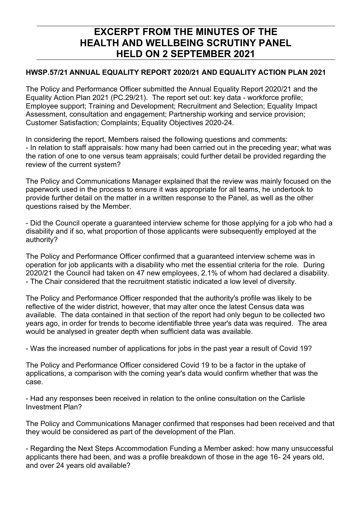## **EXCERPT FROM THE MINUTES OF THE HEALTH AND WELLBEING SCRUTINY PANEL HELD ON 2 SEPTEMBER 2021**

## **HWSP.57/21 ANNUAL EQUALITY REPORT 2020/21 AND EQUALITY ACTION PLAN 2021**

The Policy and Performance Officer submitted the Annual Equality Report 2020/21 and the Equality Action Plan 2021 (PC.29/21). The report set out: key data - workforce profile; Employee support; Training and Development; Recruitment and Selection; Equality Impact Assessment, consultation and engagement; Partnership working and service provision; Customer Satisfaction; Complaints; Equality Objectives 2020-24.

In considering the report, Members raised the following questions and comments: - In relation to staff appraisals: how many had been carried out in the preceding year; what was the ration of one to one versus team appraisals; could further detail be provided regarding the review of the current system?

The Policy and Communications Manager explained that the review was mainly focused on the paperwork used in the process to ensure it was appropriate for all teams, he undertook to provide further detail on the matter in a written response to the Panel, as well as the other questions raised by the Member.

- Did the Council operate a guaranteed interview scheme for those applying for a job who had a disability and if so, what proportion of those applicants were subsequently employed at the authority?

The Policy and Performance Officer confirmed that a guaranteed interview scheme was in operation for job applicants with a disability who met the essential criteria for the role.During 2020/21 the Council had taken on 47 new employees, 2.1% of whom had declared a disability. - The Chair considered that the recruitment statistic indicated a low level of diversity.

The Policy and Performance Officer responded that the authority's profile was likely to be reflective of the wider district, however, that may alter once the latest Census data was available. The data contained in that section of the report had only begun to be collected two years ago, in order for trends to become identifiable three year's data was required. The area would be analysed in greater depth when sufficient data was available.

- Was the increased number of applications for jobs in the past year a result of Covid 19?

The Policy and Performance Officer considered Covid 19 to be a factor in the uptake of applications, a comparison with the coming year's data would confirm whether that was the case.

- Had any responses been received in relation to the online consultation on the Carlisle Investment Plan?

The Policy and Communications Manager confirmed that responses had been received and that they would be considered as part of the development of the Plan.

- Regarding the Next Steps Accommodation Funding a Member asked: how many unsuccessful applicants there had been, and was a profile breakdown of those in the age 16- 24 years old, and over 24 years old available?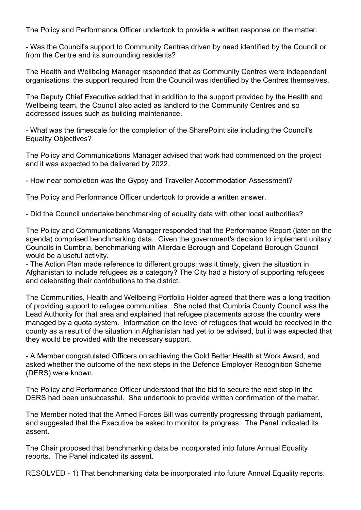The Policy and Performance Officer undertook to provide a written response on the matter.

- Was the Council's support to Community Centres driven by need identified by the Council or from the Centre and its surrounding residents?

The Health and Wellbeing Manager responded that as Community Centres were independent organisations, the support required from the Council was identified by the Centres themselves.

The Deputy Chief Executive added that in addition to the support provided by the Health and Wellbeing team, the Council also acted as landlord to the Community Centres and so addressed issues such as building maintenance.

- What was the timescale for the completion of the SharePoint site including the Council's Equality Objectives?

The Policy and Communications Manager advised that work had commenced on the project and it was expected to be delivered by 2022.

- How near completion was the Gypsy and Traveller Accommodation Assessment?

The Policy and Performance Officer undertook to provide a written answer.

- Did the Council undertake benchmarking of equality data with other local authorities?

The Policy and Communications Manager responded that the Performance Report (later on the agenda) comprised benchmarking data. Given the government's decision to implement unitary Councils in Cumbria, benchmarking with Allerdale Borough and Copeland Borough Council would be a useful activity.

- The Action Plan made reference to different groups: was it timely, given the situation in Afghanistan to include refugees as a category? The City had a history of supporting refugees and celebrating their contributions to the district.

The Communities, Health and Wellbeing Portfolio Holder agreed that there was a long tradition of providing support to refugee communities. She noted that Cumbria County Council was the Lead Authority for that area and explained that refugee placements across the country were managed by a quota system. Information on the level of refugees that would be received in the county as a result of the situation in Afghanistan had yet to be advised, but it was expected that they would be provided with the necessary support.

- A Member congratulated Officers on achieving the Gold Better Health at Work Award, and asked whether the outcome of the next steps in the Defence Employer Recognition Scheme (DERS) were known.

The Policy and Performance Officer understood that the bid to secure the next step in the DERS had been unsuccessful. She undertook to provide written confirmation of the matter.

The Member noted that the Armed Forces Bill was currently progressing through parliament, and suggested that the Executive be asked to monitor its progress. The Panel indicated its assent.

The Chair proposed that benchmarking data be incorporated into future Annual Equality reports. The Panel indicated its assent.

RESOLVED - 1) That benchmarking data be incorporated into future Annual Equality reports.